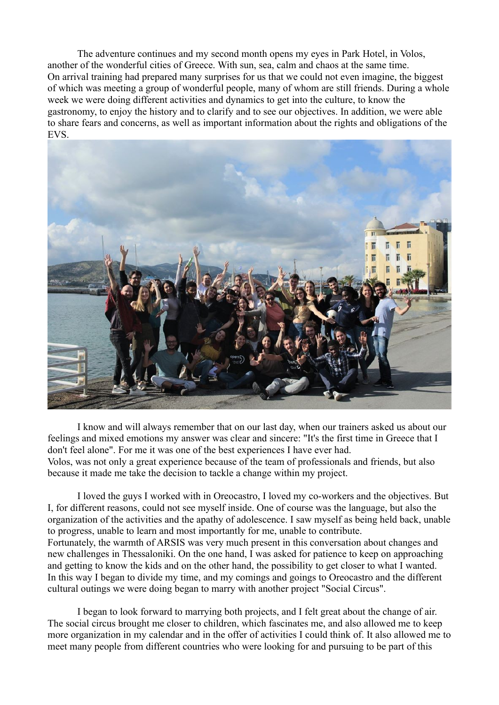The adventure continues and my second month opens my eyes in Park Hotel, in Volos, another of the wonderful cities of Greece. With sun, sea, calm and chaos at the same time. On arrival training had prepared many surprises for us that we could not even imagine, the biggest of which was meeting a group of wonderful people, many of whom are still friends. During a whole week we were doing different activities and dynamics to get into the culture, to know the gastronomy, to enjoy the history and to clarify and to see our objectives. In addition, we were able to share fears and concerns, as well as important information about the rights and obligations of the EVS.



I know and will always remember that on our last day, when our trainers asked us about our feelings and mixed emotions my answer was clear and sincere: "It's the first time in Greece that I don't feel alone". For me it was one of the best experiences I have ever had. Volos, was not only a great experience because of the team of professionals and friends, but also because it made me take the decision to tackle a change within my project.

I loved the guys I worked with in Oreocastro, I loved my co-workers and the objectives. But I, for different reasons, could not see myself inside. One of course was the language, but also the organization of the activities and the apathy of adolescence. I saw myself as being held back, unable to progress, unable to learn and most importantly for me, unable to contribute. Fortunately, the warmth of ARSIS was very much present in this conversation about changes and new challenges in Thessaloniki. On the one hand, I was asked for patience to keep on approaching and getting to know the kids and on the other hand, the possibility to get closer to what I wanted. In this way I began to divide my time, and my comings and goings to Oreocastro and the different cultural outings we were doing began to marry with another project "Social Circus".

I began to look forward to marrying both projects, and I felt great about the change of air. The social circus brought me closer to children, which fascinates me, and also allowed me to keep more organization in my calendar and in the offer of activities I could think of. It also allowed me to meet many people from different countries who were looking for and pursuing to be part of this